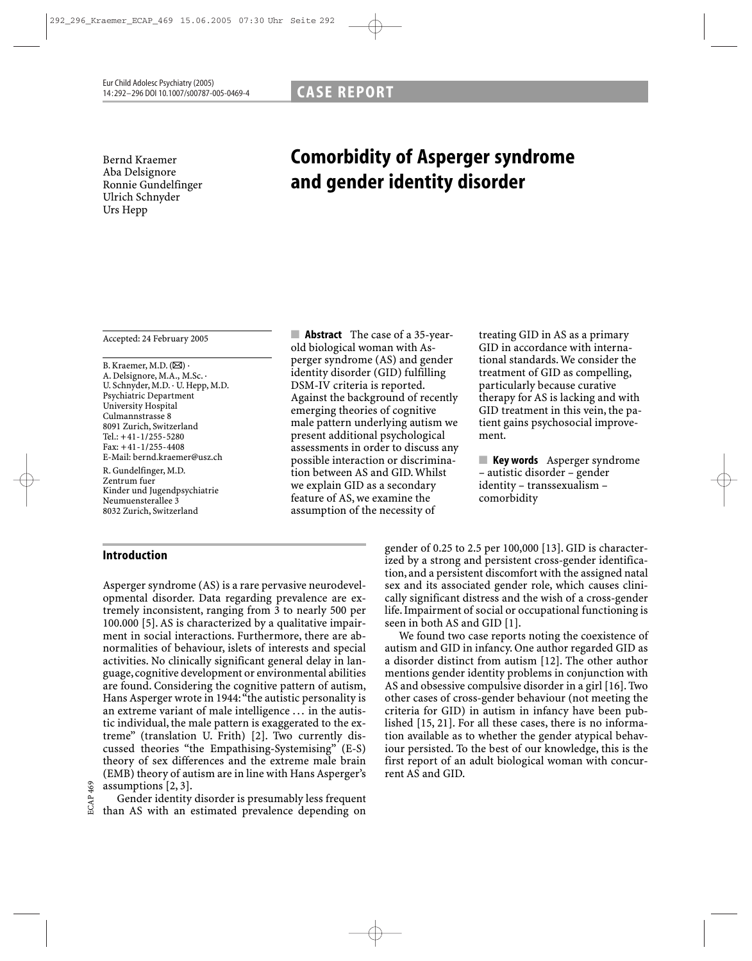Bernd Kraemer Aba Delsignore Ronnie Gundelfinger Ulrich Schnyder Urs Hepp

# Comorbidity of Asperger syndrome and gender identity disorder

Accepted: 24 February 2005

B. Kraemer, M.D.  $(\boxtimes)$ . A. Delsignore, M.A., M.Sc. · U. Schnyder, M.D. · U. Hepp, M.D. Psychiatric Department University Hospital Culmannstrasse 8 8091 Zurich, Switzerland Tel.: +41-1/255-5280 Fax: +41-1/255-4408 E-Mail: bernd.kraemer@usz.ch

R. Gundelfinger, M.D. Zentrum fuer Kinder und Jugendpsychiatrie Neumuensterallee 3 8032 Zurich, Switzerland

## Introduction

Asperger syndrome (AS) is a rare pervasive neurodevelopmental disorder. Data regarding prevalence are extremely inconsistent, ranging from 3 to nearly 500 per 100.000 [5]. AS is characterized by a qualitative impairment in social interactions. Furthermore, there are abnormalities of behaviour, islets of interests and special activities. No clinically significant general delay in language, cognitive development or environmental abilities are found. Considering the cognitive pattern of autism, Hans Asperger wrote in 1944: "the autistic personality is an extreme variant of male intelligence . . . in the autistic individual, the male pattern is exaggerated to the extreme" (translation U. Frith) [2]. Two currently discussed theories "the Empathising-Systemising" (E-S) theory of sex differences and the extreme male brain (EMB) theory of autism are in line with Hans Asperger's assumptions [2, 3].

Gender identity disorder is presumably less frequent than AS with an estimated prevalence depending on

■ **Abstract** The case of a 35-yearold biological woman with Asperger syndrome (AS) and gender identity disorder (GID) fulfilling DSM-IV criteria is reported. Against the background of recently emerging theories of cognitive male pattern underlying autism we present additional psychological assessments in order to discuss any possible interaction or discrimination between AS and GID. Whilst we explain GID as a secondary feature of AS, we examine the assumption of the necessity of

treating GID in AS as a primary GID in accordance with international standards. We consider the treatment of GID as compelling, particularly because curative therapy for AS is lacking and with GID treatment in this vein, the patient gains psychosocial improvement.

■ Key words Asperger syndrome – autistic disorder – gender identity – transsexualism – comorbidity

gender of 0.25 to 2.5 per 100,000 [13]. GID is characterized by a strong and persistent cross-gender identification, and a persistent discomfort with the assigned natal sex and its associated gender role, which causes clinically significant distress and the wish of a cross-gender life. Impairment of social or occupational functioning is seen in both AS and GID [1].

We found two case reports noting the coexistence of autism and GID in infancy. One author regarded GID as a disorder distinct from autism [12]. The other author mentions gender identity problems in conjunction with AS and obsessive compulsive disorder in a girl [16]. Two other cases of cross-gender behaviour (not meeting the criteria for GID) in autism in infancy have been published [15, 21]. For all these cases, there is no information available as to whether the gender atypical behaviour persisted. To the best of our knowledge, this is the first report of an adult biological woman with concurrent AS and GID.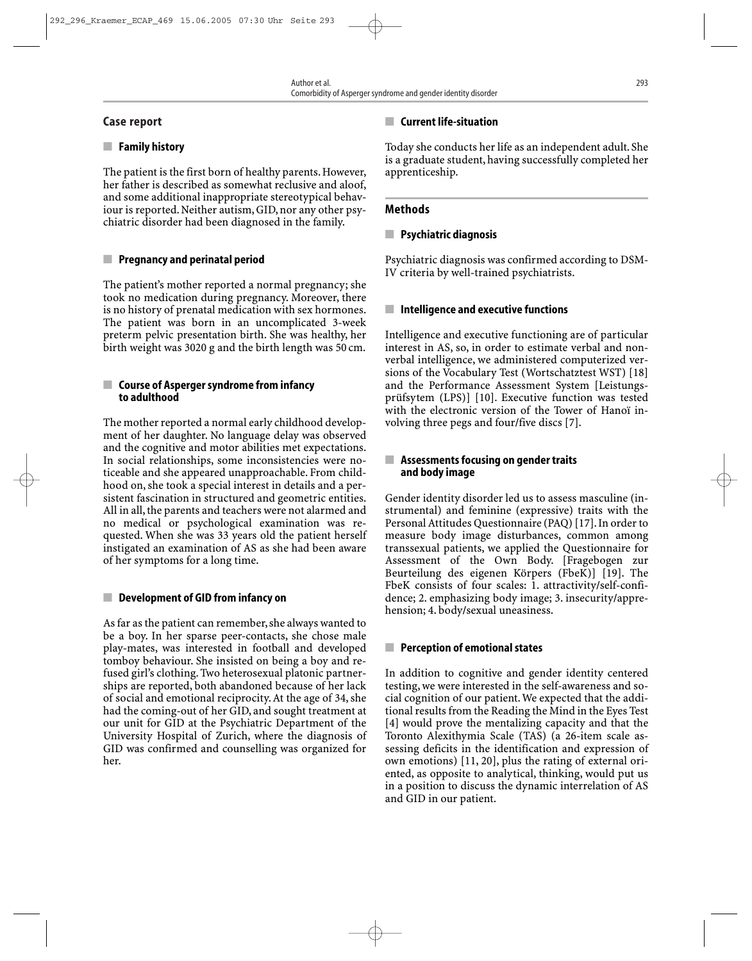## Case report

## ■ Family history

The patient is the first born of healthy parents. However, her father is described as somewhat reclusive and aloof, and some additional inappropriate stereotypical behaviour is reported. Neither autism, GID, nor any other psychiatric disorder had been diagnosed in the family.

## ■ Pregnancy and perinatal period

The patient's mother reported a normal pregnancy; she took no medication during pregnancy. Moreover, there is no history of prenatal medication with sex hormones. The patient was born in an uncomplicated 3-week preterm pelvic presentation birth. She was healthy, her birth weight was 3020 g and the birth length was 50 cm.

## ■ Course of Asperger syndrome from infancy to adulthood

The mother reported a normal early childhood development of her daughter. No language delay was observed and the cognitive and motor abilities met expectations. In social relationships, some inconsistencies were noticeable and she appeared unapproachable. From childhood on, she took a special interest in details and a persistent fascination in structured and geometric entities. All in all, the parents and teachers were not alarmed and no medical or psychological examination was requested. When she was 33 years old the patient herself instigated an examination of AS as she had been aware of her symptoms for a long time.

## ■ Development of GID from infancy on

As far as the patient can remember, she always wanted to be a boy. In her sparse peer-contacts, she chose male play-mates, was interested in football and developed tomboy behaviour. She insisted on being a boy and refused girl's clothing. Two heterosexual platonic partnerships are reported, both abandoned because of her lack of social and emotional reciprocity. At the age of 34, she had the coming-out of her GID, and sought treatment at our unit for GID at the Psychiatric Department of the University Hospital of Zurich, where the diagnosis of GID was confirmed and counselling was organized for her.

## ■ Current life-situation

Today she conducts her life as an independent adult. She is a graduate student, having successfully completed her apprenticeship.

## Methods

## ■ Psychiatric diagnosis

Psychiatric diagnosis was confirmed according to DSM-IV criteria by well-trained psychiatrists.

## ■ Intelligence and executive functions

Intelligence and executive functioning are of particular interest in AS, so, in order to estimate verbal and nonverbal intelligence, we administered computerized versions of the Vocabulary Test (Wortschatztest WST) [18] and the Performance Assessment System [Leistungsprüfsytem (LPS)] [10]. Executive function was tested with the electronic version of the Tower of Hanoï involving three pegs and four/five discs [7].

#### ■ Assessments focusing on gender traits and body image

Gender identity disorder led us to assess masculine (instrumental) and feminine (expressive) traits with the Personal Attitudes Questionnaire (PAQ) [17]. In order to measure body image disturbances, common among transsexual patients, we applied the Questionnaire for Assessment of the Own Body. [Fragebogen zur Beurteilung des eigenen Körpers (FbeK)] [19]. The FbeK consists of four scales: 1. attractivity/self-confidence; 2. emphasizing body image; 3. insecurity/apprehension; 4. body/sexual uneasiness.

## ■ Perception of emotional states

In addition to cognitive and gender identity centered testing,we were interested in the self-awareness and social cognition of our patient. We expected that the additional results from the Reading the Mind in the Eyes Test [4] would prove the mentalizing capacity and that the Toronto Alexithymia Scale (TAS) (a 26-item scale assessing deficits in the identification and expression of own emotions) [11, 20], plus the rating of external oriented, as opposite to analytical, thinking, would put us in a position to discuss the dynamic interrelation of AS and GID in our patient.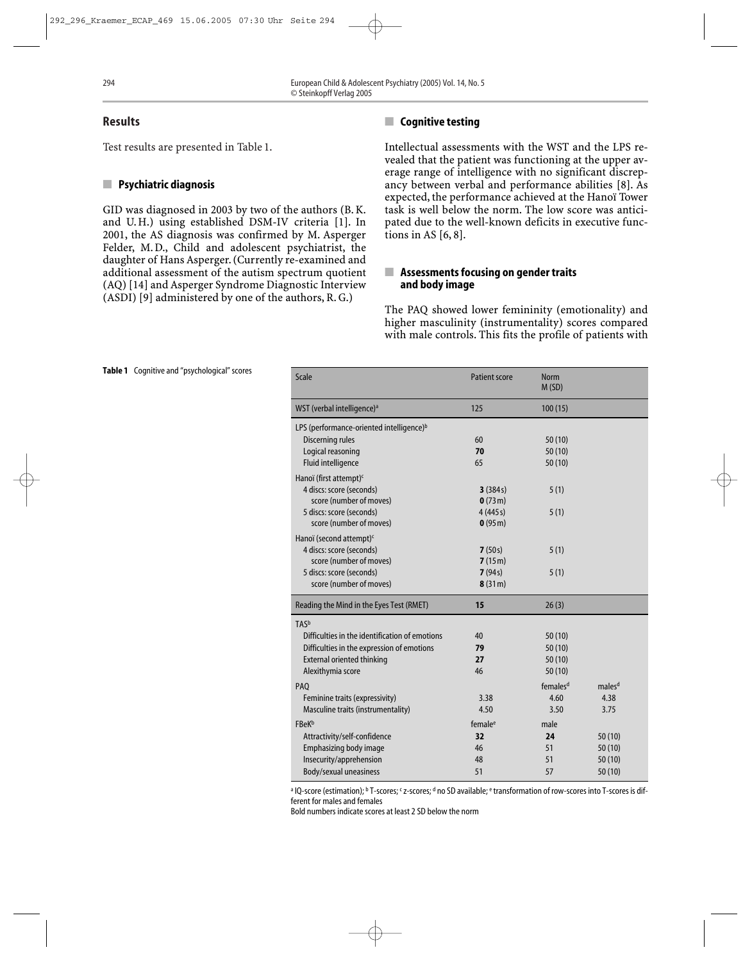#### Results

Test results are presented in Table 1.

#### ■ Psychiatric diagnosis

GID was diagnosed in 2003 by two of the authors (B. K. and U. H.) using established DSM-IV criteria [1]. In 2001, the AS diagnosis was confirmed by M. Asperger Felder, M. D., Child and adolescent psychiatrist, the daughter of Hans Asperger. (Currently re-examined and additional assessment of the autism spectrum quotient (AQ) [14] and Asperger Syndrome Diagnostic Interview (ASDI) [9] administered by one of the authors, R. G.)

## ■ Cognitive testing

Intellectual assessments with the WST and the LPS revealed that the patient was functioning at the upper average range of intelligence with no significant discrepancy between verbal and performance abilities [8]. As expected, the performance achieved at the Hanoï Tower task is well below the norm. The low score was anticipated due to the well-known deficits in executive functions in AS [6, 8].

#### ■ Assessments focusing on gender traits and body image

The PAQ showed lower femininity (emotionality) and higher masculinity (instrumentality) scores compared with male controls. This fits the profile of patients with

| <b>Scale</b>                                         | <b>Patient score</b> | <b>Norm</b><br>M(SD) |                    |
|------------------------------------------------------|----------------------|----------------------|--------------------|
| WST (verbal intelligence) <sup>a</sup>               | 125                  | 100(15)              |                    |
| LPS (performance-oriented intelligence) <sup>b</sup> |                      |                      |                    |
| Discerning rules                                     | 60                   | 50(10)               |                    |
| Logical reasoning                                    | 70                   | 50(10)               |                    |
| Fluid intelligence                                   | 65                   | 50(10)               |                    |
| Hanoï (first attempt) <sup>c</sup>                   |                      |                      |                    |
| 4 discs: score (seconds)                             | 3(384s)              | 5(1)                 |                    |
| score (number of moves)                              | 0(73m)               |                      |                    |
| 5 discs: score (seconds)                             | 4(445s)              | 5(1)                 |                    |
| score (number of moves)                              | 0(95m)               |                      |                    |
| Hanoï (second attempt) <sup>c</sup>                  |                      |                      |                    |
| 4 discs: score (seconds)                             | 7(50s)               | 5(1)                 |                    |
| score (number of moves)                              | 7(15m)               |                      |                    |
| 5 discs: score (seconds)                             | 7(94s)               | 5(1)                 |                    |
| score (number of moves)                              | 8(31m)               |                      |                    |
| Reading the Mind in the Eyes Test (RMET)             | 15                   | 26(3)                |                    |
| TASb                                                 |                      |                      |                    |
| Difficulties in the identification of emotions       | 40                   | 50(10)               |                    |
| Difficulties in the expression of emotions           | 79                   | 50(10)               |                    |
| <b>External oriented thinking</b>                    | 27                   | 50(10)               |                    |
| Alexithymia score                                    | 46                   | 50(10)               |                    |
| PAQ                                                  |                      | females <sup>d</sup> | males <sup>d</sup> |
| Feminine traits (expressivity)                       | 3.38                 | 4.60                 | 4.38               |
| Masculine traits (instrumentality)                   | 4.50                 | 3.50                 | 3.75               |
| <b>FBeK</b> b                                        | female <sup>e</sup>  | male                 |                    |
| Attractivity/self-confidence                         | 32                   | 24                   | 50(10)             |
| Emphasizing body image                               | 46                   | 51                   | 50(10)             |
| Insecurity/apprehension                              | 48                   | 51                   | 50(10)             |
| Body/sexual uneasiness                               | 51                   | 57                   | 50 (10)            |

a IQ-score (estimation); b T-scores; <sup>c</sup> z-scores; <sup>d</sup> no SD available; e transformation of row-scores into T-scores is different for males and females

Bold numbers indicate scores at least 2 SD below the norm

#### Table 1 Cognitive and "psychological" scores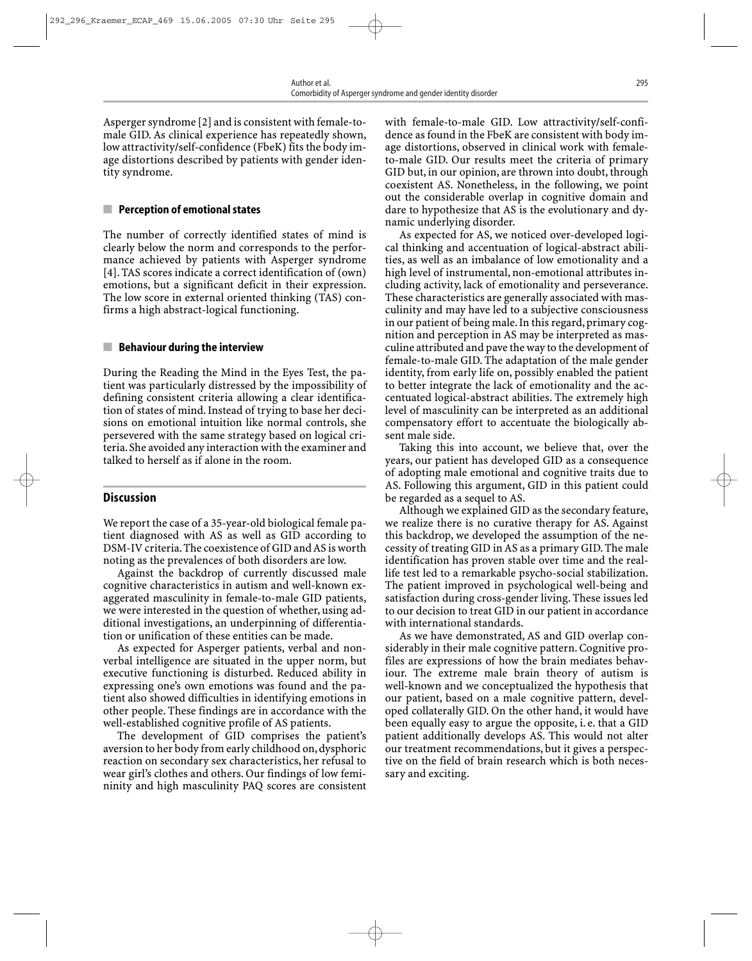Asperger syndrome [2] and is consistent with female-tomale GID. As clinical experience has repeatedly shown, low attractivity/self-confidence (FbeK) fits the body image distortions described by patients with gender identity syndrome.

#### ■ Perception of emotional states

The number of correctly identified states of mind is clearly below the norm and corresponds to the performance achieved by patients with Asperger syndrome [4]. TAS scores indicate a correct identification of (own) emotions, but a significant deficit in their expression. The low score in external oriented thinking (TAS) confirms a high abstract-logical functioning.

#### $\blacksquare$  Behaviour during the interview

During the Reading the Mind in the Eyes Test, the patient was particularly distressed by the impossibility of defining consistent criteria allowing a clear identification of states of mind. Instead of trying to base her decisions on emotional intuition like normal controls, she persevered with the same strategy based on logical criteria.She avoided any interaction with the examiner and talked to herself as if alone in the room.

#### Discussion

We report the case of a 35-year-old biological female patient diagnosed with AS as well as GID according to DSM-IV criteria.The coexistence of GID and AS is worth noting as the prevalences of both disorders are low.

Against the backdrop of currently discussed male cognitive characteristics in autism and well-known exaggerated masculinity in female-to-male GID patients, we were interested in the question of whether, using additional investigations, an underpinning of differentiation or unification of these entities can be made.

As expected for Asperger patients, verbal and nonverbal intelligence are situated in the upper norm, but executive functioning is disturbed. Reduced ability in expressing one's own emotions was found and the patient also showed difficulties in identifying emotions in other people. These findings are in accordance with the well-established cognitive profile of AS patients.

The development of GID comprises the patient's aversion to her body from early childhood on,dysphoric reaction on secondary sex characteristics, her refusal to wear girl's clothes and others. Our findings of low femininity and high masculinity PAQ scores are consistent with female-to-male GID. Low attractivity/self-confidence as found in the FbeK are consistent with body image distortions, observed in clinical work with femaleto-male GID. Our results meet the criteria of primary GID but, in our opinion, are thrown into doubt, through coexistent AS. Nonetheless, in the following, we point out the considerable overlap in cognitive domain and dare to hypothesize that AS is the evolutionary and dynamic underlying disorder.

As expected for AS, we noticed over-developed logical thinking and accentuation of logical-abstract abilities, as well as an imbalance of low emotionality and a high level of instrumental, non-emotional attributes including activity, lack of emotionality and perseverance. These characteristics are generally associated with masculinity and may have led to a subjective consciousness in our patient of being male. In this regard, primary cognition and perception in AS may be interpreted as masculine attributed and pave the way to the development of female-to-male GID. The adaptation of the male gender identity, from early life on, possibly enabled the patient to better integrate the lack of emotionality and the accentuated logical-abstract abilities. The extremely high level of masculinity can be interpreted as an additional compensatory effort to accentuate the biologically absent male side.

Taking this into account, we believe that, over the years, our patient has developed GID as a consequence of adopting male emotional and cognitive traits due to AS. Following this argument, GID in this patient could be regarded as a sequel to AS.

Although we explained GID as the secondary feature, we realize there is no curative therapy for AS. Against this backdrop, we developed the assumption of the necessity of treating GID in AS as a primary GID. The male identification has proven stable over time and the reallife test led to a remarkable psycho-social stabilization. The patient improved in psychological well-being and satisfaction during cross-gender living. These issues led to our decision to treat GID in our patient in accordance with international standards.

As we have demonstrated, AS and GID overlap considerably in their male cognitive pattern. Cognitive profiles are expressions of how the brain mediates behaviour. The extreme male brain theory of autism is well-known and we conceptualized the hypothesis that our patient, based on a male cognitive pattern, developed collaterally GID. On the other hand, it would have been equally easy to argue the opposite, i. e. that a GID patient additionally develops AS. This would not alter our treatment recommendations, but it gives a perspective on the field of brain research which is both necessary and exciting.